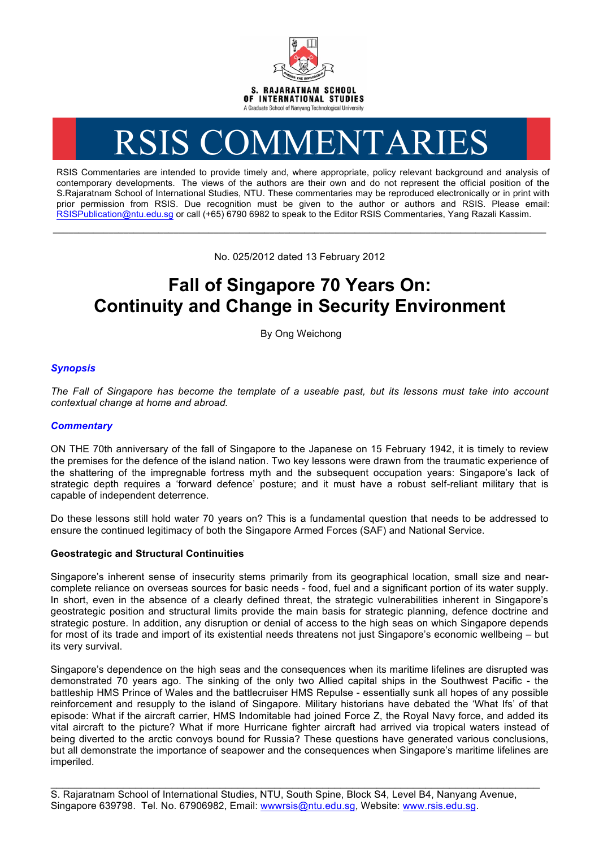

# RSIS COMMENTARIES

RSIS Commentaries are intended to provide timely and, where appropriate, policy relevant background and analysis of contemporary developments. The views of the authors are their own and do not represent the official position of the S.Rajaratnam School of International Studies, NTU. These commentaries may be reproduced electronically or in print with prior permission from RSIS. Due recognition must be given to the author or authors and RSIS. Please email: RSISPublication@ntu.edu.sg or call (+65) 6790 6982 to speak to the Editor RSIS Commentaries, Yang Razali Kassim.

No. 025/2012 dated 13 February 2012

**\_\_\_\_\_\_\_\_\_\_\_\_\_\_\_\_\_\_\_\_\_\_\_\_\_\_\_\_\_\_\_\_\_\_\_\_\_\_\_\_\_\_\_\_\_\_\_\_\_\_\_\_\_\_\_\_\_\_\_\_\_\_\_\_\_\_\_\_\_\_\_\_\_\_\_\_\_\_\_\_\_\_\_\_\_\_\_\_\_\_\_\_\_\_\_\_\_\_**

## **Fall of Singapore 70 Years On: Continuity and Change in Security Environment**

By Ong Weichong

### *Synopsis*

*The Fall of Singapore has become the template of a useable past, but its lessons must take into account contextual change at home and abroad.*

#### *Commentary*

ON THE 70th anniversary of the fall of Singapore to the Japanese on 15 February 1942, it is timely to review the premises for the defence of the island nation. Two key lessons were drawn from the traumatic experience of the shattering of the impregnable fortress myth and the subsequent occupation years: Singapore's lack of strategic depth requires a 'forward defence' posture; and it must have a robust self-reliant military that is capable of independent deterrence.

Do these lessons still hold water 70 years on? This is a fundamental question that needs to be addressed to ensure the continued legitimacy of both the Singapore Armed Forces (SAF) and National Service.

#### **Geostrategic and Structural Continuities**

Singapore's inherent sense of insecurity stems primarily from its geographical location, small size and nearcomplete reliance on overseas sources for basic needs - food, fuel and a significant portion of its water supply. In short, even in the absence of a clearly defined threat, the strategic vulnerabilities inherent in Singapore's geostrategic position and structural limits provide the main basis for strategic planning, defence doctrine and strategic posture. In addition, any disruption or denial of access to the high seas on which Singapore depends for most of its trade and import of its existential needs threatens not just Singapore's economic wellbeing – but its very survival.

Singapore's dependence on the high seas and the consequences when its maritime lifelines are disrupted was demonstrated 70 years ago. The sinking of the only two Allied capital ships in the Southwest Pacific - the battleship HMS Prince of Wales and the battlecruiser HMS Repulse - essentially sunk all hopes of any possible reinforcement and resupply to the island of Singapore. Military historians have debated the 'What Ifs' of that episode: What if the aircraft carrier, HMS Indomitable had joined Force Z, the Royal Navy force, and added its vital aircraft to the picture? What if more Hurricane fighter aircraft had arrived via tropical waters instead of being diverted to the arctic convoys bound for Russia? These questions have generated various conclusions, but all demonstrate the importance of seapower and the consequences when Singapore's maritime lifelines are imperiled.